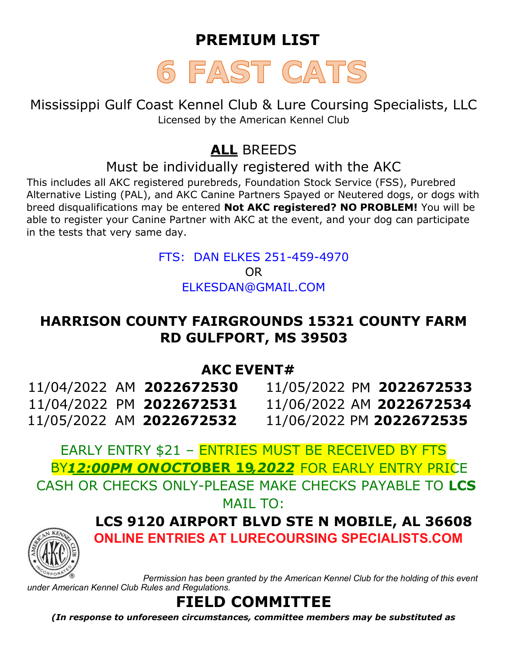## **PREMIUM LIST**



Mississippi Gulf Coast Kennel Club & Lure Coursing Specialists, LLC Licensed by the American Kennel Club

## **ALL** BREEDS

Must be individually registered with the AKC

This includes all AKC registered purebreds, Foundation Stock Service (FSS), Purebred Alternative Listing (PAL), and AKC Canine Partners Spayed or Neutered dogs, or dogs with breed disqualifications may be entered **Not AKC registered? NO PROBLEM!** You will be able to register your Canine Partner with AKC at the event, and your dog can participate in the tests that very same day.

#### FTS: DAN ELKES 251-459-4970 OR ELKESDAN@GMAIL.COM

## **HARRISON COUNTY FAIRGROUNDS 15321 COUNTY FARM RD GULFPORT, MS 39503**

## **AKC EVENT#**

11/04/2022 AM **2022672530** 11/05/2022 PM **2022672533** 11/04/2022 PM **2022672531** 11/06/2022 AM **2022672534** 11/05/2022 AM **2022672532** 11/06/2022 PM **2022672535**

EARLY ENTRY \$21 – ENTRIES MUST BE RECEIVED BY FTS BY12:00PM ONOCTOBER 19,2022 FOR EARLY ENTRY PRICE CASH OR CHECKS ONLY-PLEASE MAKE CHECKS PAYABLE TO **LCS** MAIL TO:



**LCS 9120 AIRPORT BLVD STE N MOBILE, AL 36608 ONLINE ENTRIES AT LURECOURSING SPECIALISTS.COM**

*Permission has been granted by the American Kennel Club for the holding of this event under American Kennel Club Rules and Regulations.* 

## **FIELD COMMITTEE**

*(In response to unforeseen circumstances, committee members may be substituted as*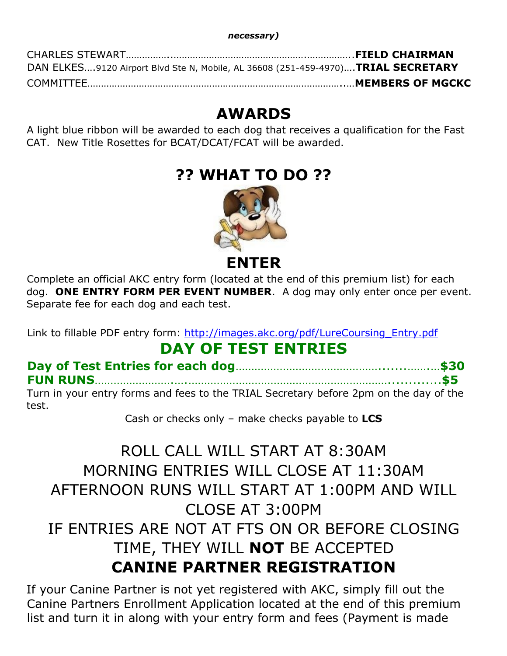#### *necessary)*

| DAN ELKES9120 Airport Blvd Ste N, Mobile, AL 36608 (251-459-4970)TRIAL SECRETARY |  |
|----------------------------------------------------------------------------------|--|
|                                                                                  |  |

## **AWARDS**

A light blue ribbon will be awarded to each dog that receives a qualification for the Fast CAT. New Title Rosettes for BCAT/DCAT/FCAT will be awarded.



**?? WHAT TO DO ??** 

**ENTER** 

Complete an official AKC entry form (located at the end of this premium list) for each dog. **ONE ENTRY FORM PER EVENT NUMBER**. A dog may only enter once per event. Separate fee for each dog and each test.

Link to fillable PDF entry form: http://images.akc.org/pdf/LureCoursing\_Entry.pdf

## **DAY OF TEST ENTRIES**

| Turn in your entry forms and fees to the TRIAL Secretary before 2pm on the day of the<br>test. |  |
|------------------------------------------------------------------------------------------------|--|

Cash or checks only – make checks payable to **LCS** 

## ROLL CALL WILL START AT 8:30AM MORNING ENTRIES WILL CLOSE AT 11:30AM AFTERNOON RUNS WILL START AT 1:00PM AND WILL CLOSE AT 3:00PM IF ENTRIES ARE NOT AT FTS ON OR BEFORE CLOSING TIME, THEY WILL **NOT** BE ACCEPTED **CANINE PARTNER REGISTRATION**

If your Canine Partner is not yet registered with AKC, simply fill out the Canine Partners Enrollment Application located at the end of this premium list and turn it in along with your entry form and fees (Payment is made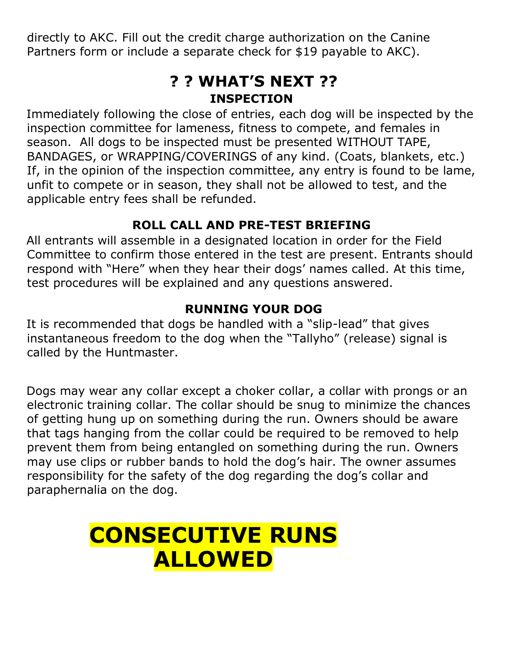directly to AKC. Fill out the credit charge authorization on the Canine Partners form or include a separate check for \$19 payable to AKC).

## **? ? WHAT'S NEXT ?? INSPECTION**

Immediately following the close of entries, each dog will be inspected by the inspection committee for lameness, fitness to compete, and females in season. All dogs to be inspected must be presented WITHOUT TAPE, BANDAGES, or WRAPPING/COVERINGS of any kind. (Coats, blankets, etc.) If, in the opinion of the inspection committee, any entry is found to be lame, unfit to compete or in season, they shall not be allowed to test, and the applicable entry fees shall be refunded.

#### **ROLL CALL AND PRE-TEST BRIEFING**

All entrants will assemble in a designated location in order for the Field Committee to confirm those entered in the test are present. Entrants should respond with "Here" when they hear their dogs' names called. At this time, test procedures will be explained and any questions answered.

### **RUNNING YOUR DOG**

It is recommended that dogs be handled with a "slip-lead" that gives instantaneous freedom to the dog when the "Tallyho" (release) signal is called by the Huntmaster.

Dogs may wear any collar except a choker collar, a collar with prongs or an electronic training collar. The collar should be snug to minimize the chances of getting hung up on something during the run. Owners should be aware that tags hanging from the collar could be required to be removed to help prevent them from being entangled on something during the run. Owners may use clips or rubber bands to hold the dog's hair. The owner assumes responsibility for the safety of the dog regarding the dog's collar and paraphernalia on the dog.

# **CONSECUTIVE RUNS ALLOWED**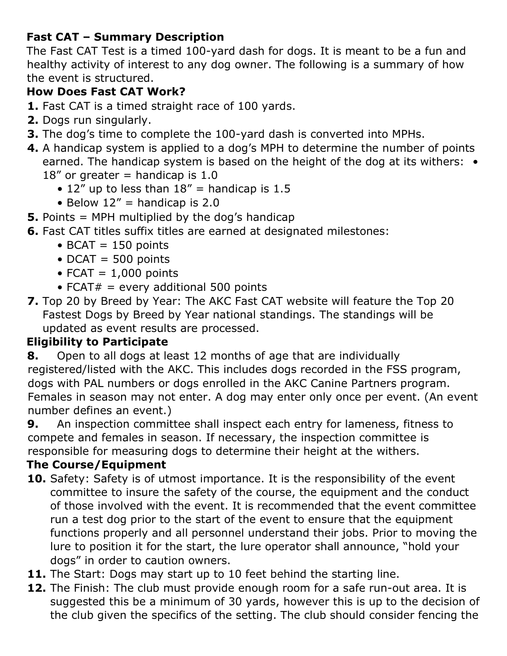#### **Fast CAT – Summary Description**

The Fast CAT Test is a timed 100-yard dash for dogs. It is meant to be a fun and healthy activity of interest to any dog owner. The following is a summary of how the event is structured.

#### **How Does Fast CAT Work?**

- **1.** Fast CAT is a timed straight race of 100 yards.
- **2.** Dogs run singularly.
- **3.** The dog's time to complete the 100-yard dash is converted into MPHs.
- **4.** A handicap system is applied to a dog's MPH to determine the number of points earned. The handicap system is based on the height of the dog at its withers: •  $18''$  or greater = handicap is 1.0
	- 12" up to less than  $18"$  = handicap is 1.5
	- Below  $12'' =$  handicap is 2.0
- **5.** Points = MPH multiplied by the dog's handicap
- **6.** Fast CAT titles suffix titles are earned at designated milestones:
	- BCAT  $= 150$  points
	- $\bullet$  DCAT = 500 points
	- FCAT =  $1,000$  points
	- FCAT $#$  = every additional 500 points
- **7.** Top 20 by Breed by Year: The AKC Fast CAT website will feature the Top 20 Fastest Dogs by Breed by Year national standings. The standings will be updated as event results are processed.

#### **Eligibility to Participate**

**8.** Open to all dogs at least 12 months of age that are individually registered/listed with the AKC. This includes dogs recorded in the FSS program, dogs with PAL numbers or dogs enrolled in the AKC Canine Partners program. Females in season may not enter. A dog may enter only once per event. (An event number defines an event.)

**9.** An inspection committee shall inspect each entry for lameness, fitness to compete and females in season. If necessary, the inspection committee is responsible for measuring dogs to determine their height at the withers.

#### **The Course/Equipment**

- **10.** Safety: Safety is of utmost importance. It is the responsibility of the event committee to insure the safety of the course, the equipment and the conduct of those involved with the event. It is recommended that the event committee run a test dog prior to the start of the event to ensure that the equipment functions properly and all personnel understand their jobs. Prior to moving the lure to position it for the start, the lure operator shall announce, "hold your dogs" in order to caution owners.
- **11.** The Start: Dogs may start up to 10 feet behind the starting line.
- **12.** The Finish: The club must provide enough room for a safe run-out area. It is suggested this be a minimum of 30 yards, however this is up to the decision of the club given the specifics of the setting. The club should consider fencing the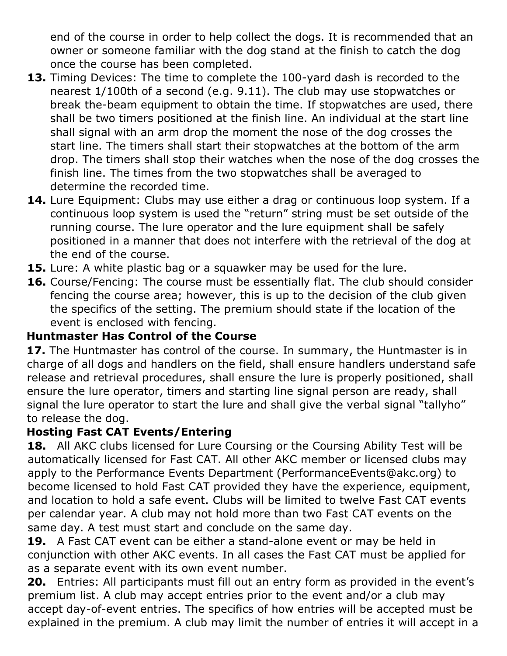end of the course in order to help collect the dogs. It is recommended that an owner or someone familiar with the dog stand at the finish to catch the dog once the course has been completed.

- **13.** Timing Devices: The time to complete the 100-yard dash is recorded to the nearest 1/100th of a second (e.g. 9.11). The club may use stopwatches or break the-beam equipment to obtain the time. If stopwatches are used, there shall be two timers positioned at the finish line. An individual at the start line shall signal with an arm drop the moment the nose of the dog crosses the start line. The timers shall start their stopwatches at the bottom of the arm drop. The timers shall stop their watches when the nose of the dog crosses the finish line. The times from the two stopwatches shall be averaged to determine the recorded time.
- **14.** Lure Equipment: Clubs may use either a drag or continuous loop system. If a continuous loop system is used the "return" string must be set outside of the running course. The lure operator and the lure equipment shall be safely positioned in a manner that does not interfere with the retrieval of the dog at the end of the course.
- **15.** Lure: A white plastic bag or a squawker may be used for the lure.
- **16.** Course/Fencing: The course must be essentially flat. The club should consider fencing the course area; however, this is up to the decision of the club given the specifics of the setting. The premium should state if the location of the event is enclosed with fencing.

#### **Huntmaster Has Control of the Course**

**17.** The Huntmaster has control of the course. In summary, the Huntmaster is in charge of all dogs and handlers on the field, shall ensure handlers understand safe release and retrieval procedures, shall ensure the lure is properly positioned, shall ensure the lure operator, timers and starting line signal person are ready, shall signal the lure operator to start the lure and shall give the verbal signal "tallyho" to release the dog.

#### **Hosting Fast CAT Events/Entering**

**18.** All AKC clubs licensed for Lure Coursing or the Coursing Ability Test will be automatically licensed for Fast CAT. All other AKC member or licensed clubs may apply to the Performance Events Department (PerformanceEvents@akc.org) to become licensed to hold Fast CAT provided they have the experience, equipment, and location to hold a safe event. Clubs will be limited to twelve Fast CAT events per calendar year. A club may not hold more than two Fast CAT events on the same day. A test must start and conclude on the same day.

**19.** A Fast CAT event can be either a stand-alone event or may be held in conjunction with other AKC events. In all cases the Fast CAT must be applied for as a separate event with its own event number.

**20.** Entries: All participants must fill out an entry form as provided in the event's premium list. A club may accept entries prior to the event and/or a club may accept day-of-event entries. The specifics of how entries will be accepted must be explained in the premium. A club may limit the number of entries it will accept in a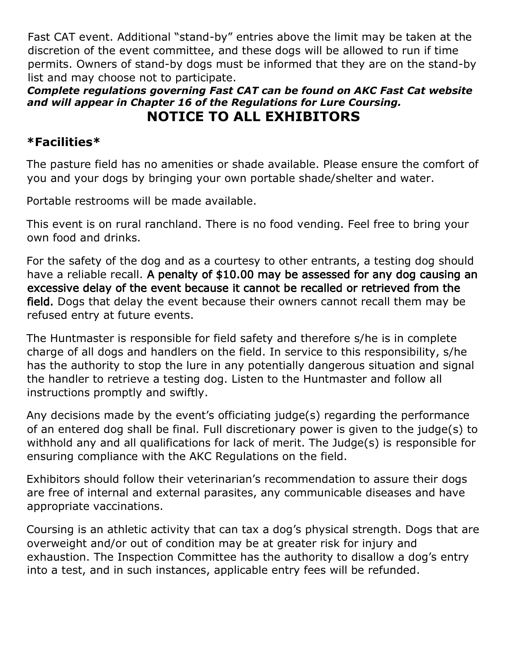Fast CAT event. Additional "stand-by" entries above the limit may be taken at the discretion of the event committee, and these dogs will be allowed to run if time permits. Owners of stand-by dogs must be informed that they are on the stand-by list and may choose not to participate.

#### *Complete regulations governing Fast CAT can be found on AKC Fast Cat website and will appear in Chapter 16 of the Regulations for Lure Coursing.*  **NOTICE TO ALL EXHIBITORS**

#### **\*Facilities\***

The pasture field has no amenities or shade available. Please ensure the comfort of you and your dogs by bringing your own portable shade/shelter and water.

Portable restrooms will be made available.

This event is on rural ranchland. There is no food vending. Feel free to bring your own food and drinks.

For the safety of the dog and as a courtesy to other entrants, a testing dog should have a reliable recall. A penalty of \$10.00 may be assessed for any dog causing an excessive delay of the event because it cannot be recalled or retrieved from the field. Dogs that delay the event because their owners cannot recall them may be refused entry at future events.

The Huntmaster is responsible for field safety and therefore s/he is in complete charge of all dogs and handlers on the field. In service to this responsibility, s/he has the authority to stop the lure in any potentially dangerous situation and signal the handler to retrieve a testing dog. Listen to the Huntmaster and follow all instructions promptly and swiftly.

Any decisions made by the event's officiating judge(s) regarding the performance of an entered dog shall be final. Full discretionary power is given to the judge(s) to withhold any and all qualifications for lack of merit. The Judge(s) is responsible for ensuring compliance with the AKC Regulations on the field.

Exhibitors should follow their veterinarian's recommendation to assure their dogs are free of internal and external parasites, any communicable diseases and have appropriate vaccinations.

Coursing is an athletic activity that can tax a dog's physical strength. Dogs that are overweight and/or out of condition may be at greater risk for injury and exhaustion. The Inspection Committee has the authority to disallow a dog's entry into a test, and in such instances, applicable entry fees will be refunded.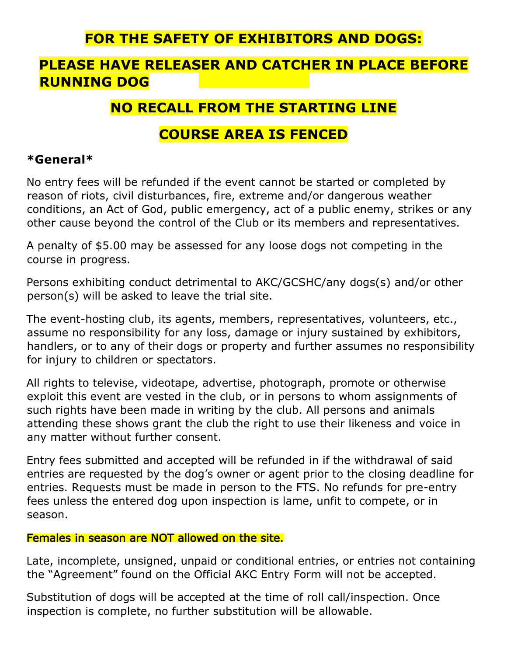### **FOR THE SAFETY OF EXHIBITORS AND DOGS:**

#### **PLEASE HAVE RELEASER AND CATCHER IN PLACE BEFORE RUNNING DOG**

## **NO RECALL FROM THE STARTING LINE**

#### **COURSE AREA IS FENCED**

#### **\*General\***

No entry fees will be refunded if the event cannot be started or completed by reason of riots, civil disturbances, fire, extreme and/or dangerous weather conditions, an Act of God, public emergency, act of a public enemy, strikes or any other cause beyond the control of the Club or its members and representatives.

A penalty of \$5.00 may be assessed for any loose dogs not competing in the course in progress.

Persons exhibiting conduct detrimental to AKC/GCSHC/any dogs(s) and/or other person(s) will be asked to leave the trial site.

The event-hosting club, its agents, members, representatives, volunteers, etc., assume no responsibility for any loss, damage or injury sustained by exhibitors, handlers, or to any of their dogs or property and further assumes no responsibility for injury to children or spectators.

All rights to televise, videotape, advertise, photograph, promote or otherwise exploit this event are vested in the club, or in persons to whom assignments of such rights have been made in writing by the club. All persons and animals attending these shows grant the club the right to use their likeness and voice in any matter without further consent.

Entry fees submitted and accepted will be refunded in if the withdrawal of said entries are requested by the dog's owner or agent prior to the closing deadline for entries. Requests must be made in person to the FTS. No refunds for pre-entry fees unless the entered dog upon inspection is lame, unfit to compete, or in season.

#### Females in season are NOT allowed on the site.

Late, incomplete, unsigned, unpaid or conditional entries, or entries not containing the "Agreement" found on the Official AKC Entry Form will not be accepted.

Substitution of dogs will be accepted at the time of roll call/inspection. Once inspection is complete, no further substitution will be allowable.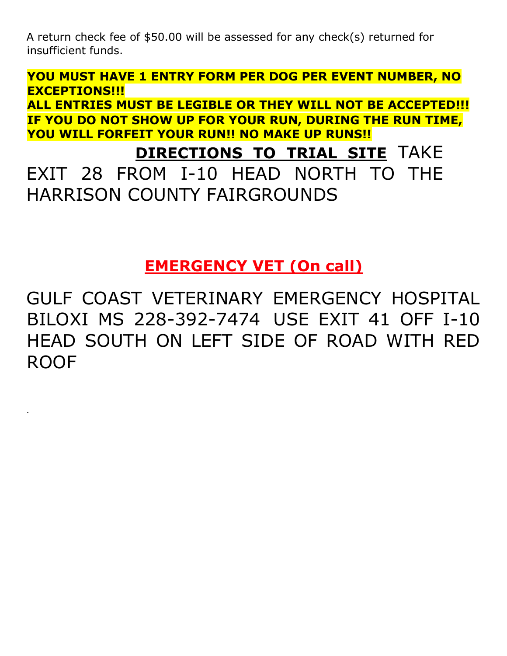A return check fee of \$50.00 will be assessed for any check(s) returned for insufficient funds.

**YOU MUST HAVE 1 ENTRY FORM PER DOG PER EVENT NUMBER, NO EXCEPTIONS!!!**

**ALL ENTRIES MUST BE LEGIBLE OR THEY WILL NOT BE ACCEPTED!!! IF YOU DO NOT SHOW UP FOR YOUR RUN, DURING THE RUN TIME, YOU WILL FORFEIT YOUR RUN!! NO MAKE UP RUNS!!**

**DIRECTIONS TO TRIAL SITE** TAKE EXIT 28 FROM I-10 HEAD NORTH TO THE HARRISON COUNTY FAIRGROUNDS

**EMERGENCY VET (On call)**

GULF COAST VETERINARY EMERGENCY HOSPITAL BILOXI MS 228-392-7474 USE EXIT 41 OFF I-10 HEAD SOUTH ON LEFT SIDE OF ROAD WITH RED ROOF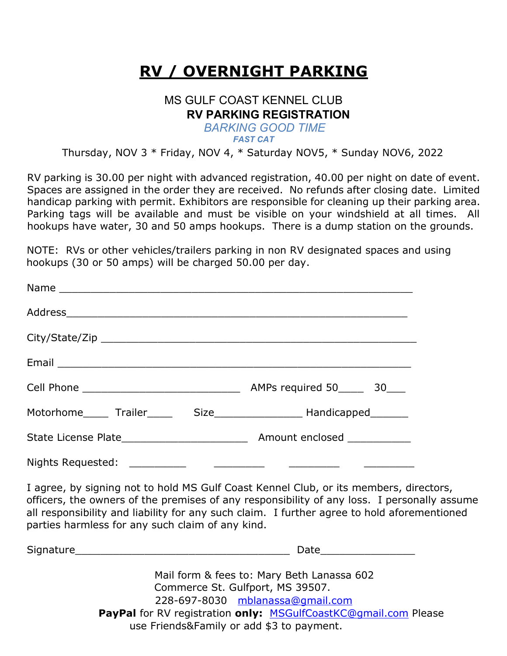# **RV / OVERNIGHT PARKING**

#### MS GULF COAST KENNEL CLUB **RV PARKING REGISTRATION**

*BARKING GOOD TIME FAST CAT*

Thursday, NOV 3 \* Friday, NOV 4, \* Saturday NOV5, \* Sunday NOV6, 2022

RV parking is 30.00 per night with advanced registration, 40.00 per night on date of event. Spaces are assigned in the order they are received. No refunds after closing date. Limited handicap parking with permit. Exhibitors are responsible for cleaning up their parking area. Parking tags will be available and must be visible on your windshield at all times. All hookups have water, 30 and 50 amps hookups. There is a dump station on the grounds.

NOTE: RVs or other vehicles/trailers parking in non RV designated spaces and using hookups (30 or 50 amps) will be charged 50.00 per day.

|  | Email <u>Communication and the communication of the communication of the communication</u> |
|--|--------------------------------------------------------------------------------------------|
|  |                                                                                            |
|  | Motorhome_______ Trailer_________ Size______________________ Handicapped________           |
|  |                                                                                            |
|  |                                                                                            |

I agree, by signing not to hold MS Gulf Coast Kennel Club, or its members, directors, officers, the owners of the premises of any responsibility of any loss. I personally assume all responsibility and liability for any such claim. I further agree to hold aforementioned parties harmless for any such claim of any kind.

Signature\_\_\_\_\_\_\_\_\_\_\_\_\_\_\_\_\_\_\_\_\_\_\_\_\_\_\_\_\_\_\_\_\_\_ Date\_\_\_\_\_\_\_\_\_\_\_\_\_\_\_

Mail form & fees to: Mary Beth Lanassa 602 Commerce St. Gulfport, MS 39507. 228-697-8030 mblanassa@gmail.com **PayPal** for RV registration **only:** MSGulfCoastKC@gmail.com Please use Friends&Family or add \$3 to payment.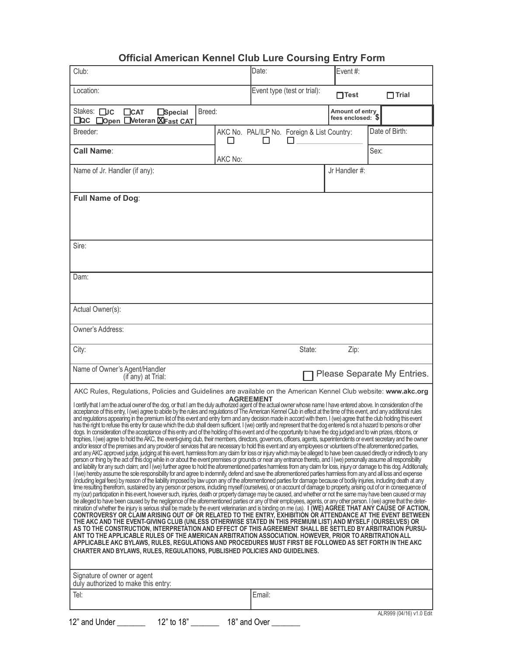#### **Official American Kennel Club Lure Coursing Entry Form**

| Club:                                                                                                                                                                                                                                                                                                                                                                                                                                                                                                                                                                                                                                                                                                                                                                                                                                                                                                                                                                                                                                                                                                                                                                                                                                                                                                                                                                                                                                                                                                                                                                                                                                                                                                                                                                                                                                                                                                                                                                                                                                                                                                                                                                                                                                                                                                                                                                                                                                                                                                                                                                                                                                                                                                                                                                                                                                                                                                                                                                                                                                                                                                                                                                                                                                                                                                                                                                                                                                                                                                                                |         | Date:                                            | Event#:                              |                             |
|--------------------------------------------------------------------------------------------------------------------------------------------------------------------------------------------------------------------------------------------------------------------------------------------------------------------------------------------------------------------------------------------------------------------------------------------------------------------------------------------------------------------------------------------------------------------------------------------------------------------------------------------------------------------------------------------------------------------------------------------------------------------------------------------------------------------------------------------------------------------------------------------------------------------------------------------------------------------------------------------------------------------------------------------------------------------------------------------------------------------------------------------------------------------------------------------------------------------------------------------------------------------------------------------------------------------------------------------------------------------------------------------------------------------------------------------------------------------------------------------------------------------------------------------------------------------------------------------------------------------------------------------------------------------------------------------------------------------------------------------------------------------------------------------------------------------------------------------------------------------------------------------------------------------------------------------------------------------------------------------------------------------------------------------------------------------------------------------------------------------------------------------------------------------------------------------------------------------------------------------------------------------------------------------------------------------------------------------------------------------------------------------------------------------------------------------------------------------------------------------------------------------------------------------------------------------------------------------------------------------------------------------------------------------------------------------------------------------------------------------------------------------------------------------------------------------------------------------------------------------------------------------------------------------------------------------------------------------------------------------------------------------------------------------------------------------------------------------------------------------------------------------------------------------------------------------------------------------------------------------------------------------------------------------------------------------------------------------------------------------------------------------------------------------------------------------------------------------------------------------------------------------------------------|---------|--------------------------------------------------|--------------------------------------|-----------------------------|
| Location:                                                                                                                                                                                                                                                                                                                                                                                                                                                                                                                                                                                                                                                                                                                                                                                                                                                                                                                                                                                                                                                                                                                                                                                                                                                                                                                                                                                                                                                                                                                                                                                                                                                                                                                                                                                                                                                                                                                                                                                                                                                                                                                                                                                                                                                                                                                                                                                                                                                                                                                                                                                                                                                                                                                                                                                                                                                                                                                                                                                                                                                                                                                                                                                                                                                                                                                                                                                                                                                                                                                            |         | Event type (test or trial):                      | $\Box$ Test                          | $\Box$ Trial                |
| Breed:<br>Stakes: $\Box$<br>$\Box$ CAT<br>$\Box$ Special<br>□QC □Open □Veteran XFast CAT                                                                                                                                                                                                                                                                                                                                                                                                                                                                                                                                                                                                                                                                                                                                                                                                                                                                                                                                                                                                                                                                                                                                                                                                                                                                                                                                                                                                                                                                                                                                                                                                                                                                                                                                                                                                                                                                                                                                                                                                                                                                                                                                                                                                                                                                                                                                                                                                                                                                                                                                                                                                                                                                                                                                                                                                                                                                                                                                                                                                                                                                                                                                                                                                                                                                                                                                                                                                                                             |         |                                                  | Amount of entry<br>fees enclosed: \$ |                             |
| Breeder:                                                                                                                                                                                                                                                                                                                                                                                                                                                                                                                                                                                                                                                                                                                                                                                                                                                                                                                                                                                                                                                                                                                                                                                                                                                                                                                                                                                                                                                                                                                                                                                                                                                                                                                                                                                                                                                                                                                                                                                                                                                                                                                                                                                                                                                                                                                                                                                                                                                                                                                                                                                                                                                                                                                                                                                                                                                                                                                                                                                                                                                                                                                                                                                                                                                                                                                                                                                                                                                                                                                             |         | AKC No. PAL/ILP No. Foreign & List Country:<br>п |                                      | Date of Birth:              |
| <b>Call Name:</b>                                                                                                                                                                                                                                                                                                                                                                                                                                                                                                                                                                                                                                                                                                                                                                                                                                                                                                                                                                                                                                                                                                                                                                                                                                                                                                                                                                                                                                                                                                                                                                                                                                                                                                                                                                                                                                                                                                                                                                                                                                                                                                                                                                                                                                                                                                                                                                                                                                                                                                                                                                                                                                                                                                                                                                                                                                                                                                                                                                                                                                                                                                                                                                                                                                                                                                                                                                                                                                                                                                                    | AKC No: |                                                  |                                      | Sex:                        |
| Name of Jr. Handler (if any):                                                                                                                                                                                                                                                                                                                                                                                                                                                                                                                                                                                                                                                                                                                                                                                                                                                                                                                                                                                                                                                                                                                                                                                                                                                                                                                                                                                                                                                                                                                                                                                                                                                                                                                                                                                                                                                                                                                                                                                                                                                                                                                                                                                                                                                                                                                                                                                                                                                                                                                                                                                                                                                                                                                                                                                                                                                                                                                                                                                                                                                                                                                                                                                                                                                                                                                                                                                                                                                                                                        |         |                                                  | Jr Handler #:                        |                             |
| Full Name of Dog:                                                                                                                                                                                                                                                                                                                                                                                                                                                                                                                                                                                                                                                                                                                                                                                                                                                                                                                                                                                                                                                                                                                                                                                                                                                                                                                                                                                                                                                                                                                                                                                                                                                                                                                                                                                                                                                                                                                                                                                                                                                                                                                                                                                                                                                                                                                                                                                                                                                                                                                                                                                                                                                                                                                                                                                                                                                                                                                                                                                                                                                                                                                                                                                                                                                                                                                                                                                                                                                                                                                    |         |                                                  |                                      |                             |
| Sire:                                                                                                                                                                                                                                                                                                                                                                                                                                                                                                                                                                                                                                                                                                                                                                                                                                                                                                                                                                                                                                                                                                                                                                                                                                                                                                                                                                                                                                                                                                                                                                                                                                                                                                                                                                                                                                                                                                                                                                                                                                                                                                                                                                                                                                                                                                                                                                                                                                                                                                                                                                                                                                                                                                                                                                                                                                                                                                                                                                                                                                                                                                                                                                                                                                                                                                                                                                                                                                                                                                                                |         |                                                  |                                      |                             |
| Dam:                                                                                                                                                                                                                                                                                                                                                                                                                                                                                                                                                                                                                                                                                                                                                                                                                                                                                                                                                                                                                                                                                                                                                                                                                                                                                                                                                                                                                                                                                                                                                                                                                                                                                                                                                                                                                                                                                                                                                                                                                                                                                                                                                                                                                                                                                                                                                                                                                                                                                                                                                                                                                                                                                                                                                                                                                                                                                                                                                                                                                                                                                                                                                                                                                                                                                                                                                                                                                                                                                                                                 |         |                                                  |                                      |                             |
| Actual Owner(s):                                                                                                                                                                                                                                                                                                                                                                                                                                                                                                                                                                                                                                                                                                                                                                                                                                                                                                                                                                                                                                                                                                                                                                                                                                                                                                                                                                                                                                                                                                                                                                                                                                                                                                                                                                                                                                                                                                                                                                                                                                                                                                                                                                                                                                                                                                                                                                                                                                                                                                                                                                                                                                                                                                                                                                                                                                                                                                                                                                                                                                                                                                                                                                                                                                                                                                                                                                                                                                                                                                                     |         |                                                  |                                      |                             |
| Owner's Address:                                                                                                                                                                                                                                                                                                                                                                                                                                                                                                                                                                                                                                                                                                                                                                                                                                                                                                                                                                                                                                                                                                                                                                                                                                                                                                                                                                                                                                                                                                                                                                                                                                                                                                                                                                                                                                                                                                                                                                                                                                                                                                                                                                                                                                                                                                                                                                                                                                                                                                                                                                                                                                                                                                                                                                                                                                                                                                                                                                                                                                                                                                                                                                                                                                                                                                                                                                                                                                                                                                                     |         |                                                  |                                      |                             |
| City:                                                                                                                                                                                                                                                                                                                                                                                                                                                                                                                                                                                                                                                                                                                                                                                                                                                                                                                                                                                                                                                                                                                                                                                                                                                                                                                                                                                                                                                                                                                                                                                                                                                                                                                                                                                                                                                                                                                                                                                                                                                                                                                                                                                                                                                                                                                                                                                                                                                                                                                                                                                                                                                                                                                                                                                                                                                                                                                                                                                                                                                                                                                                                                                                                                                                                                                                                                                                                                                                                                                                |         | State:                                           | Zip:                                 |                             |
| Name of Owner's Agent/Handler<br>(if any) at Trial:                                                                                                                                                                                                                                                                                                                                                                                                                                                                                                                                                                                                                                                                                                                                                                                                                                                                                                                                                                                                                                                                                                                                                                                                                                                                                                                                                                                                                                                                                                                                                                                                                                                                                                                                                                                                                                                                                                                                                                                                                                                                                                                                                                                                                                                                                                                                                                                                                                                                                                                                                                                                                                                                                                                                                                                                                                                                                                                                                                                                                                                                                                                                                                                                                                                                                                                                                                                                                                                                                  |         |                                                  |                                      | Please Separate My Entries. |
| AKC Rules, Regulations, Policies and Guidelines are available on the American Kennel Club website: www.akc.org<br>I certify that I am the actual owner of the dog, or that I am the duly authorized agent of the actual owner whose name I have entered above. In consideration of the<br>acceptance of this entry, I (we) agree to abide by the rules and regulations of The American Kennel Club in effect at the time of this event, and any additional rules<br>and regulations appearing in the premium list of this event and entry form and any decision made in accord with them. I (we) agree that the club holding this event<br>has the right to refuse this entry for cause which the club shall deem sufficient. I (we) certify and represent that the dog entered is not a hazard to persons or other<br>dogs. In consideration of the acceptance of this entry and of the holding of this event and of the opportunity to have the dog judged and to win prizes, ribbons, or<br>trophies, I (we) agree to hold the AKC, the event-giving club, their members, directors, governors, officers, agents, superintendents or event secretary and the owner<br>and/or lessor of the premises and any provider of services that are necessary to hold this event and any employees or volunteers of the aforementioned parties,<br>and any AKC approved judge, judging at this event, harmless from any daim for loss or injury which may be alleged to have been caused directly or indirectly to any<br>person or thing by the act of this dog while in or about the event premises or grounds or near any entrance thereto, and I (we) personally assume all responsibility<br>and liability for any such daim; and I (we) further agree to hold the aforementioned parties harmless from any claim for loss, injury or damage to this dog. Additionally,<br>I (we) hereby assume the sole responsibility for and agree to indemnify, defend and save the aforementioned parties harmless from any and all loss and expense<br>(including legal fees) by reason of the liability imposed by law upon any of the aforementioned parties for damage because of bodily injuries, including death at any<br>time resulting therefrom, sustained by any person or persons, including myself (ourselves), or on account of damage to property, arising out of or in consequence of<br>my (our) participation in this event, however such, injuries, death or property damage may be caused, and whether or not the same may have been caused or may<br>be alleged to have been caused by the negligence of the aforementioned parties or any of their employees, agents, or any other person. I (we) agree that the deter-<br>mination of whether the injury is serious shall be made by the event veterinarian and is binding on me (us). I (WE) AGREE THAT ANY CAUSE OF ACTION,<br>CONTROVERSY OR CLAIM ARISING OUT OF OR RELATED TO THE ENTRY. EXHIBITION OR ATTENDANCE AT THE EVENT BETWEEN<br>THE AKC AND THE EVENT-GIVING CLUB (UNLESS OTHERWISE STATED IN THIS PREMIUM LIST) AND MYSELF (OURSELVES) OR<br>AS TO THE CONSTRUCTION, INTERPRETATION AND EFFECT OF THIS AGREEMENT SHALL BE SETTLED BY ARBITRATION PURSU-<br>ANT TO THE APPLICABLE RULES OF THE AMERICAN ARBITRATION ASSOCIATION. HOWEVER, PRIOR TO ARBITRATION ALL<br>APPLICABLE AKC BYLAWS, RULES, REGULATIONS AND PROCEDURES MUST FIRST BE FOLLOWED AS SET FORTH IN THE AKC<br>CHARTER AND BYLAWS, RULES, REGULATIONS, PUBLISHED POLICIES AND GUIDELINES. |         | <b>AGREEMENT</b>                                 |                                      |                             |
| Signature of owner or agent<br>duly authorized to make this entry:                                                                                                                                                                                                                                                                                                                                                                                                                                                                                                                                                                                                                                                                                                                                                                                                                                                                                                                                                                                                                                                                                                                                                                                                                                                                                                                                                                                                                                                                                                                                                                                                                                                                                                                                                                                                                                                                                                                                                                                                                                                                                                                                                                                                                                                                                                                                                                                                                                                                                                                                                                                                                                                                                                                                                                                                                                                                                                                                                                                                                                                                                                                                                                                                                                                                                                                                                                                                                                                                   |         |                                                  |                                      |                             |
| Tel:                                                                                                                                                                                                                                                                                                                                                                                                                                                                                                                                                                                                                                                                                                                                                                                                                                                                                                                                                                                                                                                                                                                                                                                                                                                                                                                                                                                                                                                                                                                                                                                                                                                                                                                                                                                                                                                                                                                                                                                                                                                                                                                                                                                                                                                                                                                                                                                                                                                                                                                                                                                                                                                                                                                                                                                                                                                                                                                                                                                                                                                                                                                                                                                                                                                                                                                                                                                                                                                                                                                                 |         | Email:                                           |                                      |                             |
| 12" to 18"<br>12" and Under                                                                                                                                                                                                                                                                                                                                                                                                                                                                                                                                                                                                                                                                                                                                                                                                                                                                                                                                                                                                                                                                                                                                                                                                                                                                                                                                                                                                                                                                                                                                                                                                                                                                                                                                                                                                                                                                                                                                                                                                                                                                                                                                                                                                                                                                                                                                                                                                                                                                                                                                                                                                                                                                                                                                                                                                                                                                                                                                                                                                                                                                                                                                                                                                                                                                                                                                                                                                                                                                                                          |         | 18" and Over                                     |                                      | ALR999 (04/16) v1.0 Edit    |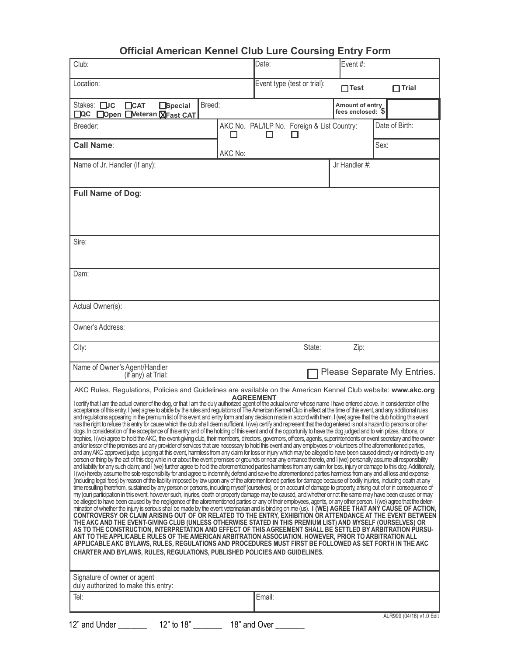#### **Official American Kennel Club Lure Coursing Entry Form**

| Club:                                                                                                                                                                                                                                                                                                                                                                                                                                                                                                                                                                                                                                                                                                                                                                                                                                                                                                                                                                                                                                                                                                                                                                                                                                                                                                                                                                                                                                                                                                                                                                                                                                                                                                                                                                                                                                                                                                                                                                                                                                                                                                                                                                                                                                                                                                                                                                                                                                                                                                                                                                                                                                                                                                                                                                                                                                                                                                                                                                                                                                                                                                                                                                                                                                                                                                                                                                                                                                                                                                                                 |         | Date:                                       | Event#:                              |                             |
|---------------------------------------------------------------------------------------------------------------------------------------------------------------------------------------------------------------------------------------------------------------------------------------------------------------------------------------------------------------------------------------------------------------------------------------------------------------------------------------------------------------------------------------------------------------------------------------------------------------------------------------------------------------------------------------------------------------------------------------------------------------------------------------------------------------------------------------------------------------------------------------------------------------------------------------------------------------------------------------------------------------------------------------------------------------------------------------------------------------------------------------------------------------------------------------------------------------------------------------------------------------------------------------------------------------------------------------------------------------------------------------------------------------------------------------------------------------------------------------------------------------------------------------------------------------------------------------------------------------------------------------------------------------------------------------------------------------------------------------------------------------------------------------------------------------------------------------------------------------------------------------------------------------------------------------------------------------------------------------------------------------------------------------------------------------------------------------------------------------------------------------------------------------------------------------------------------------------------------------------------------------------------------------------------------------------------------------------------------------------------------------------------------------------------------------------------------------------------------------------------------------------------------------------------------------------------------------------------------------------------------------------------------------------------------------------------------------------------------------------------------------------------------------------------------------------------------------------------------------------------------------------------------------------------------------------------------------------------------------------------------------------------------------------------------------------------------------------------------------------------------------------------------------------------------------------------------------------------------------------------------------------------------------------------------------------------------------------------------------------------------------------------------------------------------------------------------------------------------------------------------------------------------------|---------|---------------------------------------------|--------------------------------------|-----------------------------|
| Location:                                                                                                                                                                                                                                                                                                                                                                                                                                                                                                                                                                                                                                                                                                                                                                                                                                                                                                                                                                                                                                                                                                                                                                                                                                                                                                                                                                                                                                                                                                                                                                                                                                                                                                                                                                                                                                                                                                                                                                                                                                                                                                                                                                                                                                                                                                                                                                                                                                                                                                                                                                                                                                                                                                                                                                                                                                                                                                                                                                                                                                                                                                                                                                                                                                                                                                                                                                                                                                                                                                                             |         | Event type (test or trial):                 | $\Box$ Test                          | $\Box$ Trial                |
| Breed:<br>Stakes: □ uc<br>$\Box$ CAT<br>$\Box$ Special<br><b>QC</b> Dopen OVeteran <b>X</b> Fast CAT                                                                                                                                                                                                                                                                                                                                                                                                                                                                                                                                                                                                                                                                                                                                                                                                                                                                                                                                                                                                                                                                                                                                                                                                                                                                                                                                                                                                                                                                                                                                                                                                                                                                                                                                                                                                                                                                                                                                                                                                                                                                                                                                                                                                                                                                                                                                                                                                                                                                                                                                                                                                                                                                                                                                                                                                                                                                                                                                                                                                                                                                                                                                                                                                                                                                                                                                                                                                                                  |         |                                             | Amount of entry<br>fees enclosed: \$ |                             |
| Breeder:                                                                                                                                                                                                                                                                                                                                                                                                                                                                                                                                                                                                                                                                                                                                                                                                                                                                                                                                                                                                                                                                                                                                                                                                                                                                                                                                                                                                                                                                                                                                                                                                                                                                                                                                                                                                                                                                                                                                                                                                                                                                                                                                                                                                                                                                                                                                                                                                                                                                                                                                                                                                                                                                                                                                                                                                                                                                                                                                                                                                                                                                                                                                                                                                                                                                                                                                                                                                                                                                                                                              | П       | AKC No. PAL/ILP No. Foreign & List Country: |                                      | Date of Birth:              |
| <b>Call Name:</b>                                                                                                                                                                                                                                                                                                                                                                                                                                                                                                                                                                                                                                                                                                                                                                                                                                                                                                                                                                                                                                                                                                                                                                                                                                                                                                                                                                                                                                                                                                                                                                                                                                                                                                                                                                                                                                                                                                                                                                                                                                                                                                                                                                                                                                                                                                                                                                                                                                                                                                                                                                                                                                                                                                                                                                                                                                                                                                                                                                                                                                                                                                                                                                                                                                                                                                                                                                                                                                                                                                                     | AKC No: |                                             |                                      | Sex:                        |
| Name of Jr. Handler (if any):                                                                                                                                                                                                                                                                                                                                                                                                                                                                                                                                                                                                                                                                                                                                                                                                                                                                                                                                                                                                                                                                                                                                                                                                                                                                                                                                                                                                                                                                                                                                                                                                                                                                                                                                                                                                                                                                                                                                                                                                                                                                                                                                                                                                                                                                                                                                                                                                                                                                                                                                                                                                                                                                                                                                                                                                                                                                                                                                                                                                                                                                                                                                                                                                                                                                                                                                                                                                                                                                                                         |         |                                             | Jr Handler #:                        |                             |
| Full Name of Dog:                                                                                                                                                                                                                                                                                                                                                                                                                                                                                                                                                                                                                                                                                                                                                                                                                                                                                                                                                                                                                                                                                                                                                                                                                                                                                                                                                                                                                                                                                                                                                                                                                                                                                                                                                                                                                                                                                                                                                                                                                                                                                                                                                                                                                                                                                                                                                                                                                                                                                                                                                                                                                                                                                                                                                                                                                                                                                                                                                                                                                                                                                                                                                                                                                                                                                                                                                                                                                                                                                                                     |         |                                             |                                      |                             |
|                                                                                                                                                                                                                                                                                                                                                                                                                                                                                                                                                                                                                                                                                                                                                                                                                                                                                                                                                                                                                                                                                                                                                                                                                                                                                                                                                                                                                                                                                                                                                                                                                                                                                                                                                                                                                                                                                                                                                                                                                                                                                                                                                                                                                                                                                                                                                                                                                                                                                                                                                                                                                                                                                                                                                                                                                                                                                                                                                                                                                                                                                                                                                                                                                                                                                                                                                                                                                                                                                                                                       |         |                                             |                                      |                             |
| Sire:                                                                                                                                                                                                                                                                                                                                                                                                                                                                                                                                                                                                                                                                                                                                                                                                                                                                                                                                                                                                                                                                                                                                                                                                                                                                                                                                                                                                                                                                                                                                                                                                                                                                                                                                                                                                                                                                                                                                                                                                                                                                                                                                                                                                                                                                                                                                                                                                                                                                                                                                                                                                                                                                                                                                                                                                                                                                                                                                                                                                                                                                                                                                                                                                                                                                                                                                                                                                                                                                                                                                 |         |                                             |                                      |                             |
| Dam:                                                                                                                                                                                                                                                                                                                                                                                                                                                                                                                                                                                                                                                                                                                                                                                                                                                                                                                                                                                                                                                                                                                                                                                                                                                                                                                                                                                                                                                                                                                                                                                                                                                                                                                                                                                                                                                                                                                                                                                                                                                                                                                                                                                                                                                                                                                                                                                                                                                                                                                                                                                                                                                                                                                                                                                                                                                                                                                                                                                                                                                                                                                                                                                                                                                                                                                                                                                                                                                                                                                                  |         |                                             |                                      |                             |
|                                                                                                                                                                                                                                                                                                                                                                                                                                                                                                                                                                                                                                                                                                                                                                                                                                                                                                                                                                                                                                                                                                                                                                                                                                                                                                                                                                                                                                                                                                                                                                                                                                                                                                                                                                                                                                                                                                                                                                                                                                                                                                                                                                                                                                                                                                                                                                                                                                                                                                                                                                                                                                                                                                                                                                                                                                                                                                                                                                                                                                                                                                                                                                                                                                                                                                                                                                                                                                                                                                                                       |         |                                             |                                      |                             |
| Actual Owner(s):                                                                                                                                                                                                                                                                                                                                                                                                                                                                                                                                                                                                                                                                                                                                                                                                                                                                                                                                                                                                                                                                                                                                                                                                                                                                                                                                                                                                                                                                                                                                                                                                                                                                                                                                                                                                                                                                                                                                                                                                                                                                                                                                                                                                                                                                                                                                                                                                                                                                                                                                                                                                                                                                                                                                                                                                                                                                                                                                                                                                                                                                                                                                                                                                                                                                                                                                                                                                                                                                                                                      |         |                                             |                                      |                             |
| Owner's Address:                                                                                                                                                                                                                                                                                                                                                                                                                                                                                                                                                                                                                                                                                                                                                                                                                                                                                                                                                                                                                                                                                                                                                                                                                                                                                                                                                                                                                                                                                                                                                                                                                                                                                                                                                                                                                                                                                                                                                                                                                                                                                                                                                                                                                                                                                                                                                                                                                                                                                                                                                                                                                                                                                                                                                                                                                                                                                                                                                                                                                                                                                                                                                                                                                                                                                                                                                                                                                                                                                                                      |         |                                             |                                      |                             |
| City:                                                                                                                                                                                                                                                                                                                                                                                                                                                                                                                                                                                                                                                                                                                                                                                                                                                                                                                                                                                                                                                                                                                                                                                                                                                                                                                                                                                                                                                                                                                                                                                                                                                                                                                                                                                                                                                                                                                                                                                                                                                                                                                                                                                                                                                                                                                                                                                                                                                                                                                                                                                                                                                                                                                                                                                                                                                                                                                                                                                                                                                                                                                                                                                                                                                                                                                                                                                                                                                                                                                                 |         | State:                                      | Zip:                                 |                             |
| Name of Owner's Agent/Handler<br>(if any) at Trial:                                                                                                                                                                                                                                                                                                                                                                                                                                                                                                                                                                                                                                                                                                                                                                                                                                                                                                                                                                                                                                                                                                                                                                                                                                                                                                                                                                                                                                                                                                                                                                                                                                                                                                                                                                                                                                                                                                                                                                                                                                                                                                                                                                                                                                                                                                                                                                                                                                                                                                                                                                                                                                                                                                                                                                                                                                                                                                                                                                                                                                                                                                                                                                                                                                                                                                                                                                                                                                                                                   |         |                                             |                                      | Please Separate My Entries. |
| AKC Rules, Regulations, Policies and Guidelines are available on the American Kennel Club website: www.akc.org<br>I certify that I am the actual owner of the dog, or that I am the duly authorized agent of the actual owner whose name I have entered above. In consideration of the<br>acceptance of this entry, I (we) agree to abide by the rules and regulations of The American Kennel Club in effect at the time of this event, and any additional rules<br>and requlations appearing in the premium list of this event and entry form and any decision made in accord with them. I (we) agree that the club holding this event<br>has the right to refuse this entry for cause which the club shall deem sufficient. I (we) certify and represent that the dog entered is not a hazard to persons or other<br>dogs. In consideration of the acceptance of this entry and of the holding of this event and of the opportunity to have the dog judged and to win prizes, ribbons, or<br>trophies, I (we) agree to hold the AKC, the event-giving club, their members, directors, governors, officers, agents, superintendents or event secretary and the owner<br>and/or lessor of the premises and any provider of services that are necessary to hold this event and any employees or volunteers of the aforementioned parties,<br>and any AKC approved judge, judging at this event, harmless from any daim for loss or injury which may be alleged to have been caused directly or indirectly to any<br>person or thing by the act of this dog while in or about the event premises or grounds or near any entrance thereto, and I (we) personally assume all responsibility<br>and liability for any such claim; and I (we) further agree to hold the aforementioned parties harmless from any claim for loss, injury or damage to this dog. Additionally,<br>I (we) hereby assume the sole responsibility for and agree to indemnify, defend and save the aforementioned parties harmless from any and all loss and expense<br>(including legal fees) by reason of the liability imposed by law upon any of the aforementioned parties for damage because of bodily injuries, including death at any<br>time resulting therefrom, sustained by any person or persons, including myself (ourselves), or on account of damage to property, arising out of or in consequence of<br>my (our) participation in this event, however such, injuries, death or property damage may be caused, and whether or not the same may have been caused or may<br>be alleged to have been caused by the negligence of the aforementioned parties or any of their employees, agents, or any other person. I (we) agree that the deter-<br>mination of whether the injury is serious shall be made by the event veterinarian and is binding on me (us). I (WE) AGREE THAT ANY CAUSE OF ACTION,<br>CONTROVERSY OR CLAIM ARISING OUT OF OR RELATED TO THE ENTRY, EXHIBITION OR ATTENDANCE AT THE EVENT BETWEEN<br>THE AKC AND THE EVENT-GIVING CLUB (UNLESS OTHERWISE STATED IN THIS PREMIUM LIST) AND MYSELF (OURSELVES) OR<br>AS TO THE CONSTRUCTION, INTERPRETATION AND EFFECT OF THIS AGREEMENT SHALL BE SETTLED BY ARBITRATION PURSU-<br>ANT TO THE APPLICABLE RULES OF THE AMERICAN ARBITRATION ASSOCIATION. HOWEVER, PRIOR TO ARBITRATION ALL<br>APPLICABLE AKC BYLAWS, RULES, REGULATIONS AND PROCEDURES MUST FIRST BE FOLLOWED AS SET FORTH IN THE AKC<br>CHARTER AND BYLAWS, RULES, REGULATIONS, PUBLISHED POLICIES AND GUIDELINES. |         | <b>AGREEMENT</b>                            |                                      |                             |
| Signature of owner or agent<br>duly authorized to make this entry:                                                                                                                                                                                                                                                                                                                                                                                                                                                                                                                                                                                                                                                                                                                                                                                                                                                                                                                                                                                                                                                                                                                                                                                                                                                                                                                                                                                                                                                                                                                                                                                                                                                                                                                                                                                                                                                                                                                                                                                                                                                                                                                                                                                                                                                                                                                                                                                                                                                                                                                                                                                                                                                                                                                                                                                                                                                                                                                                                                                                                                                                                                                                                                                                                                                                                                                                                                                                                                                                    |         |                                             |                                      |                             |
| Tel:                                                                                                                                                                                                                                                                                                                                                                                                                                                                                                                                                                                                                                                                                                                                                                                                                                                                                                                                                                                                                                                                                                                                                                                                                                                                                                                                                                                                                                                                                                                                                                                                                                                                                                                                                                                                                                                                                                                                                                                                                                                                                                                                                                                                                                                                                                                                                                                                                                                                                                                                                                                                                                                                                                                                                                                                                                                                                                                                                                                                                                                                                                                                                                                                                                                                                                                                                                                                                                                                                                                                  |         | Email:                                      |                                      |                             |
| 12" to 18"<br>12" and Under                                                                                                                                                                                                                                                                                                                                                                                                                                                                                                                                                                                                                                                                                                                                                                                                                                                                                                                                                                                                                                                                                                                                                                                                                                                                                                                                                                                                                                                                                                                                                                                                                                                                                                                                                                                                                                                                                                                                                                                                                                                                                                                                                                                                                                                                                                                                                                                                                                                                                                                                                                                                                                                                                                                                                                                                                                                                                                                                                                                                                                                                                                                                                                                                                                                                                                                                                                                                                                                                                                           |         | 18" and Over                                |                                      | ALR999 (04/16) v1.0 Edit    |